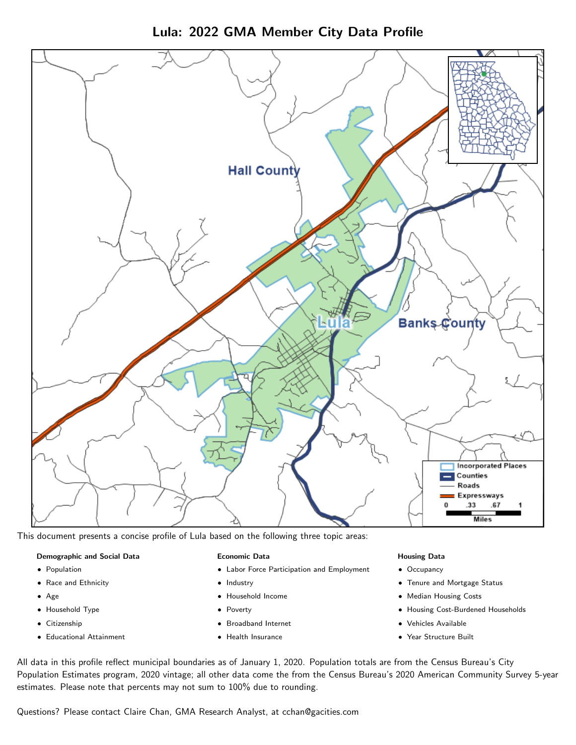



This document presents a concise profile of Lula based on the following three topic areas:

### Demographic and Social Data

- **•** Population
- Race and Ethnicity
- Age
- Household Type
- **Citizenship**
- Educational Attainment

### Economic Data

- Labor Force Participation and Employment
- Industry
- Household Income
- Poverty
- Broadband Internet
- Health Insurance

### Housing Data

- Occupancy
- Tenure and Mortgage Status
- Median Housing Costs
- Housing Cost-Burdened Households
- Vehicles Available
- Year Structure Built

All data in this profile reflect municipal boundaries as of January 1, 2020. Population totals are from the Census Bureau's City Population Estimates program, 2020 vintage; all other data come the from the Census Bureau's 2020 American Community Survey 5-year estimates. Please note that percents may not sum to 100% due to rounding.

Questions? Please contact Claire Chan, GMA Research Analyst, at [cchan@gacities.com.](mailto:cchan@gacities.com)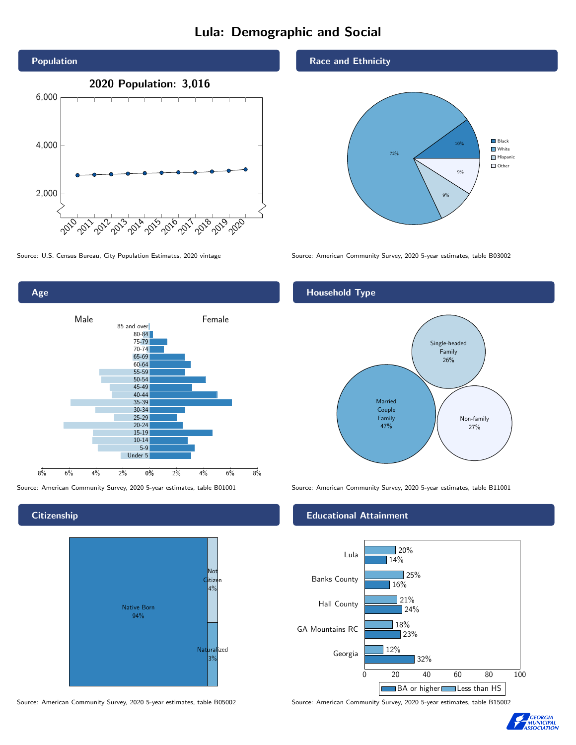# Lula: Demographic and Social



Age 0% 2% 4% 6% 8% Male **Female** 8% 6% 4% 2% 85 and over 80-84 75-79 70-74 65-69 60-64 55-59 50-54 45-49 40-44 35-39 30-34 25-29 20-24 15-19  $10-14$ 5-9 Under 5

**Citizenship** 



Source: American Community Survey, 2020 5-year estimates, table B05002 Source: American Community Survey, 2020 5-year estimates, table B15002

### Race and Ethnicity



Source: U.S. Census Bureau, City Population Estimates, 2020 vintage Source: American Community Survey, 2020 5-year estimates, table B03002

# Household Type



Source: American Community Survey, 2020 5-year estimates, table B01001 Source: American Community Survey, 2020 5-year estimates, table B11001

### Educational Attainment



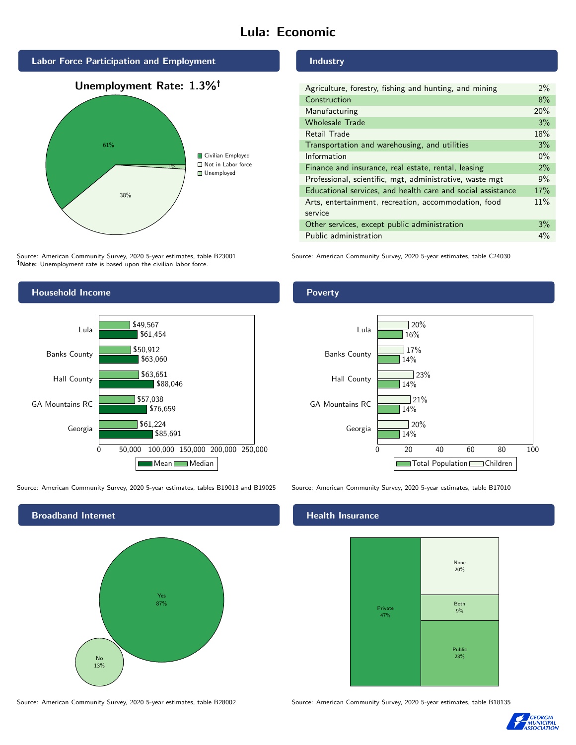# Lula: Economic



Source: American Community Survey, 2020 5-year estimates, table B23001 Note: Unemployment rate is based upon the civilian labor force.

## Industry

| Agriculture, forestry, fishing and hunting, and mining      | $2\%$ |
|-------------------------------------------------------------|-------|
| Construction                                                | 8%    |
| Manufacturing                                               | 20%   |
| <b>Wholesale Trade</b>                                      | 3%    |
| Retail Trade                                                | 18%   |
| Transportation and warehousing, and utilities               | 3%    |
| Information                                                 | $0\%$ |
| Finance and insurance, real estate, rental, leasing         | 2%    |
| Professional, scientific, mgt, administrative, waste mgt    | 9%    |
| Educational services, and health care and social assistance | 17%   |
| Arts, entertainment, recreation, accommodation, food        | 11%   |
| service                                                     |       |
| Other services, except public administration                | 3%    |
| Public administration                                       | 4%    |

Source: American Community Survey, 2020 5-year estimates, table C24030



Source: American Community Survey, 2020 5-year estimates, tables B19013 and B19025 Source: American Community Survey, 2020 5-year estimates, table B17010

Broadband Internet No 13% Yes 87%

## Health Insurance



Source: American Community Survey, 2020 5-year estimates, table B28002 Source: American Community Survey, 2020 5-year estimates, table B18135